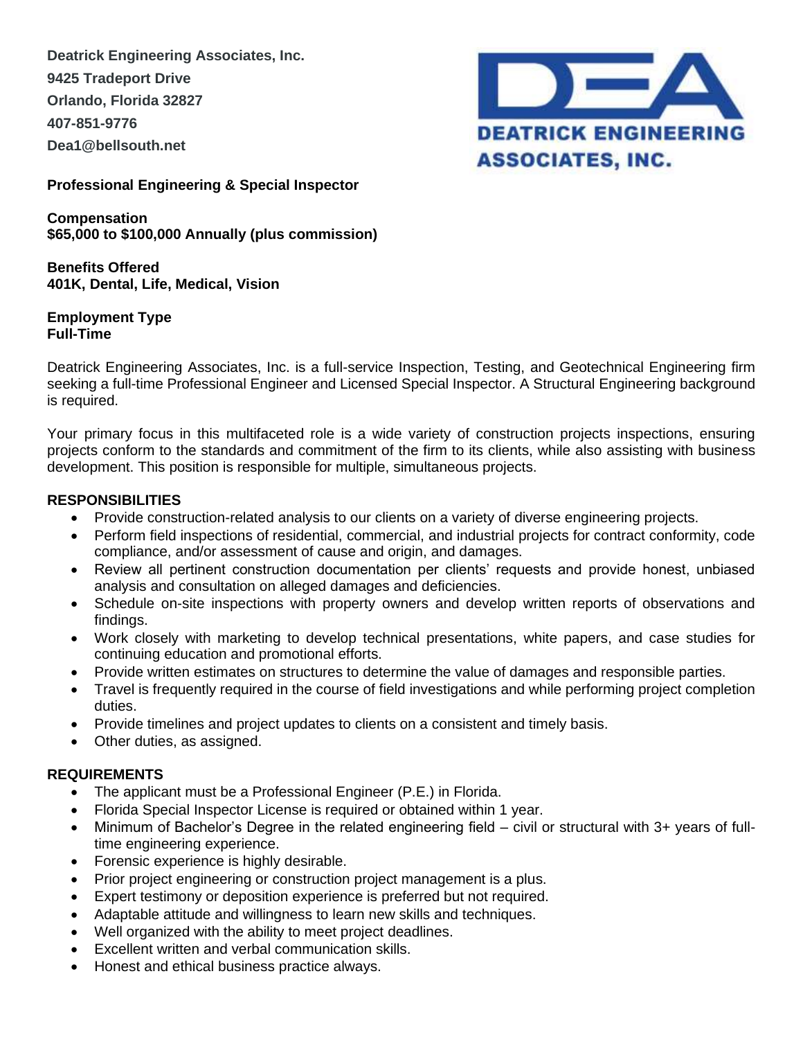**Deatrick Engineering Associates, Inc. 9425 Tradeport Drive Orlando, Florida 32827 407-851-9776 Dea1@bellsouth.net**



**Professional Engineering & Special Inspector**

**Compensation \$65,000 to \$100,000 Annually (plus commission)**

**Benefits Offered 401K, Dental, Life, Medical, Vision**

#### **Employment Type Full-Time**

Deatrick Engineering Associates, Inc. is a full-service Inspection, Testing, and Geotechnical Engineering firm seeking a full-time Professional Engineer and Licensed Special Inspector. A Structural Engineering background is required.

Your primary focus in this multifaceted role is a wide variety of construction projects inspections, ensuring projects conform to the standards and commitment of the firm to its clients, while also assisting with business development. This position is responsible for multiple, simultaneous projects.

## **RESPONSIBILITIES**

- Provide construction-related analysis to our clients on a variety of diverse engineering projects.
- Perform field inspections of residential, commercial, and industrial projects for contract conformity, code compliance, and/or assessment of cause and origin, and damages.
- Review all pertinent construction documentation per clients' requests and provide honest, unbiased analysis and consultation on alleged damages and deficiencies.
- Schedule on-site inspections with property owners and develop written reports of observations and findings.
- Work closely with marketing to develop technical presentations, white papers, and case studies for continuing education and promotional efforts.
- Provide written estimates on structures to determine the value of damages and responsible parties.
- Travel is frequently required in the course of field investigations and while performing project completion duties.
- Provide timelines and project updates to clients on a consistent and timely basis.
- Other duties, as assigned.

# **REQUIREMENTS**

- The applicant must be a Professional Engineer (P.E.) in Florida.
- Florida Special Inspector License is required or obtained within 1 year.
- Minimum of Bachelor's Degree in the related engineering field civil or structural with 3+ years of fulltime engineering experience.
- Forensic experience is highly desirable.
- Prior project engineering or construction project management is a plus.
- Expert testimony or deposition experience is preferred but not required.
- Adaptable attitude and willingness to learn new skills and techniques.
- Well organized with the ability to meet project deadlines.
- Excellent written and verbal communication skills.
- Honest and ethical business practice always.